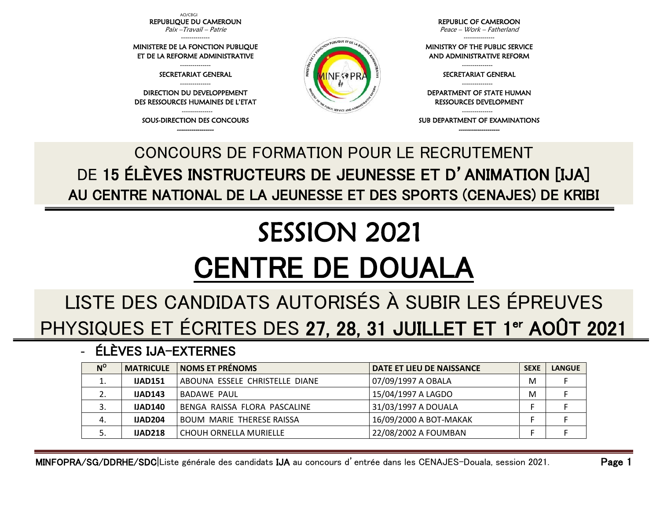AO/CBGI REPUBLIQUE DU CAMEROUN

Paix –Travail – Patrie --------------

MINISTERE DE LA FONCTION PUBLIQUE ET DE LA REFORME ADMINISTRATIVE

> --------------- SECRETARIAT GENERAL

--------------- DIRECTION DU DEVELOPPEMENT DES RESSOURCES HUMAINES DE L'ETAT

--------------- SOUS-DIRECTION DES CONCOURS ------------------

REPUBLIC OF CAMEROON Peace – Work – Fatherland

---------------

MINISTRY OF THE PUBLIC SERVICE AND ADMINISTRATIVE REFORM

> --------------- SECRETARIAT GENERAL

RESSOURCES DEVELOPMENT

SUB DEPARTMENT OF EXAMINATIONS --------------------

---------------

DEPARTMENT OF STATE HUMAN

---------------

## AU CENTRE NATIONAL DE LA JEUNESSE ET DES SPORTS (CENAJES) DE KRIBI SESSION 2021 CENTRE DE DOUALA

CONCOURS DE FORMATION POUR LE RECRUTEMENT

DE 15 ÉLÈVES INSTRUCTEURS DE JEUNESSE ET D'ANIMATION [IJA]

## LISTE DES CANDIDATS AUTORISÉS À SUBIR LES ÉPREUVES PHYSIQUES ET ÉCRITES DES 27, 28, 31 JUILLET ET 1<sup>er</sup> AOÛT 2021

## - ÉLÈVES IJA-EXTERNES

| $N^{\rm o}$ | <b>MATRICULE</b> | <b>NOMS ET PRÉNOMS</b>           | DATE ET LIEU DE NAISSANCE | <b>SEXE</b> | <b>LANGUE</b> |
|-------------|------------------|----------------------------------|---------------------------|-------------|---------------|
| ⊥.          | <b>IJAD151</b>   | ABOUNA ESSELE CHRISTELLE DIANE   | 07/09/1997 A OBALA        | M           |               |
| z.          | <b>IJAD143</b>   | BADAWE PAUL                      | 15/04/1997 A LAGDO        | М           |               |
| 3.          | <b>IJAD140</b>   | BENGA RAISSA FLORA PASCALINE     | 31/03/1997 A DOUALA       |             |               |
| 4.          | <b>IJAD204</b>   | <b>BOUM MARIE THERESE RAISSA</b> | 16/09/2000 A BOT-MAKAK    |             |               |
| J.          | <b>IJAD218</b>   | CHOUH ORNELLA MURIELLE           | 22/08/2002 A FOUMBAN      |             |               |